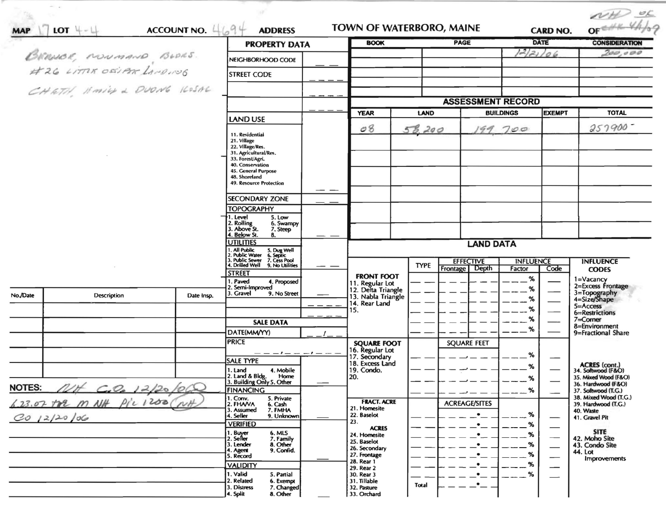|                                            |                         |               |                                                                              |                      |                                          |              |                                                |                  |                                | OFEHR VALOR                                  |
|--------------------------------------------|-------------------------|---------------|------------------------------------------------------------------------------|----------------------|------------------------------------------|--------------|------------------------------------------------|------------------|--------------------------------|----------------------------------------------|
| <b>MAP</b>                                 | LOT $+-\perp$           | ACCOUNT NO. 4 | $1 - 9$<br><b>ADDRESS</b>                                                    |                      | <b>BOOK</b>                              |              | <b>TOWN OF WATERBORO, MAINE</b><br><b>PAGE</b> |                  | <b>CARD NO.</b><br>DATE        | <b>CONSIDERATION</b>                         |
|                                            |                         |               | <b>PROPERTY DATA</b>                                                         |                      |                                          |              |                                                |                  | 122106                         | 200,000                                      |
|                                            |                         |               | NEIGHBORHOOD CODE                                                            |                      |                                          |              |                                                |                  |                                |                                              |
|                                            | BROUGE, NONMAND, BUDES. |               | <b>STREET CODE</b>                                                           |                      |                                          |              |                                                |                  |                                |                                              |
|                                            | CHETH HMILL DUONG KOSAL |               |                                                                              |                      |                                          |              |                                                |                  |                                |                                              |
|                                            |                         |               |                                                                              |                      |                                          |              | <b>ASSESSMENT RECORD</b>                       |                  |                                |                                              |
|                                            |                         |               |                                                                              |                      | <b>YEAR</b>                              | LAND         |                                                | <b>BUILDINGS</b> | <b>EXEMPT</b>                  | <b>TOTAL</b>                                 |
|                                            |                         |               | <b>LAND USE</b>                                                              |                      |                                          |              |                                                |                  |                                |                                              |
|                                            |                         |               | 11. Residential                                                              |                      | O8                                       | 58,200       | 99                                             | 700              |                                | 257900                                       |
|                                            |                         |               | 21. Village<br>22. Village/Res.                                              |                      |                                          |              |                                                |                  |                                |                                              |
|                                            |                         |               | 31. Agricultural/Res.                                                        |                      |                                          |              |                                                |                  |                                |                                              |
|                                            |                         |               | 33. Forest/Agri.<br>40. Conservation                                         |                      |                                          |              |                                                |                  |                                |                                              |
|                                            |                         |               | 45. General Purpose<br>48. Shoreland                                         |                      |                                          |              |                                                |                  |                                |                                              |
|                                            |                         |               | 49. Resource Protection                                                      |                      |                                          |              |                                                |                  |                                |                                              |
|                                            |                         |               | <b>SECONDARY ZONE</b>                                                        |                      |                                          |              |                                                |                  |                                |                                              |
|                                            |                         |               | <b>TOPOGRAPHY</b>                                                            |                      |                                          |              |                                                |                  |                                |                                              |
|                                            |                         |               | 1. Level<br>5. Low<br>2. Rolling<br>6. Swampy                                |                      |                                          |              |                                                |                  |                                |                                              |
|                                            |                         |               | 3. Above St.<br>7. Steep<br>4. Below St.                                     |                      |                                          |              |                                                |                  |                                |                                              |
|                                            |                         |               | 8.<br><b>UTILITIES</b>                                                       |                      |                                          |              | <b>LAND DATA</b>                               |                  |                                |                                              |
|                                            |                         |               | 1. All Public<br>5. Dug Well<br>6. Septic<br>7. Cess Pool<br>2. Public Water |                      |                                          |              |                                                |                  |                                |                                              |
|                                            |                         |               | 3. Public Sewer<br>4. Drilled Well<br>9. No Utilities                        |                      |                                          | <b>TYPE</b>  | <b>EFFECTIVE</b>                               | <b>INFLUENCE</b> |                                | <b>INFLUENCE</b>                             |
|                                            |                         |               | <b>STREET</b>                                                                |                      | <b>FRONT FOOT</b>                        |              | Frontage Depth                                 | Factor           | Code                           | <b>CODES</b>                                 |
|                                            |                         |               | 1. Paved<br>4. Proposed<br>2. Semi-Improved                                  |                      | 11. Regular Lot                          |              |                                                | %                |                                | 1=Vacancy<br>2=Excess Frontage               |
| No./Date                                   | Description             | Date Insp.    | 3. Gravel<br>9. No Street                                                    |                      | 12. Delta Triangle<br>13. Nabla Triangle |              |                                                | %                |                                | 3=Topography<br>4=Size/Shape                 |
|                                            |                         |               |                                                                              |                      | 14. Rear Land                            |              |                                                |                  |                                | $5 =$ Access                                 |
|                                            |                         |               |                                                                              |                      | 15.                                      |              |                                                | %                |                                | 6=Restrictions                               |
|                                            |                         |               | <b>SALE DATA</b>                                                             |                      |                                          |              |                                                | %                |                                | $7 =$ Corner<br>8=Environment                |
|                                            |                         |               | DATE(MM/YY)                                                                  |                      |                                          |              |                                                |                  |                                | 9=Fractional Share                           |
|                                            |                         |               | <b>PRICE</b>                                                                 |                      | <b>SQUARE FOOT</b><br>16. Regular Lot    |              | <b>SQUARE FEET</b>                             |                  |                                |                                              |
|                                            |                         |               | <b>SALE TYPE</b>                                                             | $-1$ - - - - $1$ - - | 17. Secondary<br>18. Excess Land         |              |                                                | %                |                                |                                              |
|                                            |                         |               | 4. Mobile<br>1. Land                                                         |                      | 19. Condo.                               |              |                                                | %                |                                | ACRES (cont.)<br>34. Softwood (F&O)          |
|                                            |                         |               | 2. Land & Bldg. Home<br>3. Building Only 5. Other<br>Home                    |                      | 20.                                      |              |                                                | %                |                                | 35. Mixed Wood (F&O)                         |
| <b>NOTES:</b>                              | C.0012/20/000           |               | <b>FINANCING</b>                                                             |                      |                                          |              |                                                | $\%$             |                                | 36. Hardwood (F&O)<br>37. Softwood (T.G.)    |
|                                            |                         | NH            | 1. Conv.<br>2. FHAVA<br>5. Private<br>6. Cash                                |                      | <b>FRACT. ACRE</b>                       |              | <b>ACREAGE/SITES</b>                           |                  |                                | 38. Mixed Wood (T.G.)<br>39. Hardwood (T.G.) |
| 6.23.07 TOP M NH Pic 1200<br>$CO$ 12/20/06 |                         |               | 7. FMHA<br>3. Assumed                                                        |                      | 21. Homesite                             |              | $\bullet$                                      | %                |                                | 40. Waste                                    |
|                                            |                         |               | 4. Seller<br>9. Unknown<br><b>VERIFIED</b>                                   |                      | 22. Baselot<br>23.                       |              | $\bullet$                                      | %                |                                | 41. Gravel Pit                               |
|                                            |                         |               | 1. Buyer<br>6. MLS                                                           |                      | <b>ACRES</b><br>24. Homesite             |              | $\bullet$                                      | %                |                                | <b>SITE</b>                                  |
|                                            |                         |               | 2. Seller<br>7. Family<br>8. Other<br>3. Lender                              |                      | 25. Baselot                              |              | $\bullet$                                      | %                | $\overline{\phantom{0}}$       | 42. Moho Site<br>43. Condo Site              |
|                                            |                         |               | 9. Confid.<br>4. Agent<br>5. Record                                          |                      | 26. Secondary<br>27. Frontage            |              | $\bullet$                                      | %                | $\overbrace{\phantom{123321}}$ | 44. Lot                                      |
|                                            |                         |               | <b>VALIDITY</b>                                                              |                      | 28. Rear 1                               |              | $\bullet$                                      | %                | —                              | <b>Improvements</b>                          |
|                                            |                         |               | 1. Valid<br>5. Partial                                                       |                      | 29. Rear 2<br>30. Rear 3                 |              | $\bullet$                                      | %                |                                |                                              |
|                                            |                         |               | 2. Related<br>6. Exempt<br>3. Distress<br>7. Changed                         |                      | 31. Tillable                             | <b>Total</b> | .∙_                                            |                  |                                |                                              |
|                                            |                         |               | 4. Split<br>8. Other                                                         |                      | 32. Pasture<br>33. Orchard               |              |                                                |                  |                                |                                              |

 $\sim 10$